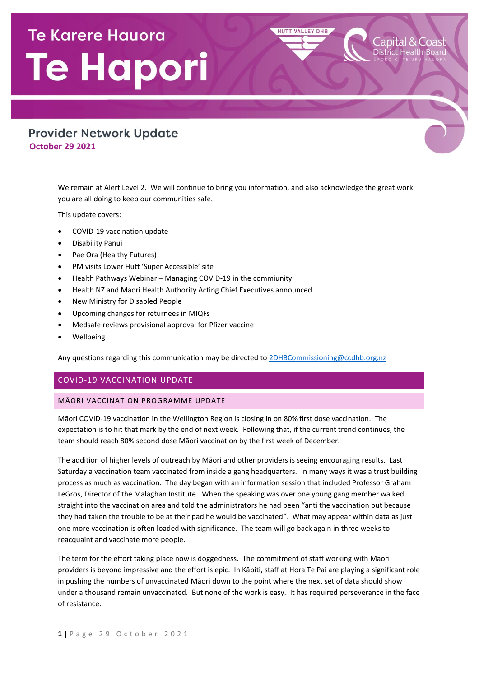# **Te Karere Hauora** Te Hapori

# **Provider Network Update October 29 2021**

We remain at Alert Level 2. We will continue to bring you information, and also acknowledge the great work you are all doing to keep our communities safe.

**HUTT VALLEY DHB** 

This update covers:

- COVID-19 vaccination update
- Disability Panui
- Pae Ora (Healthy Futures)
- PM visits Lower Hutt 'Super Accessible' site
- Health Pathways Webinar Managing COVID-19 in the commiunity
- Health NZ and Maori Health Authority Acting Chief Executives announced
- New Ministry for Disabled People
- Upcoming changes for returnees in MIQFs
- Medsafe reviews provisional approval for Pfizer vaccine
- Wellbeing

Any questions regarding this communication may be directed t[o 2DHBCommissioning@ccdhb.org.nz](mailto:2DHBCommissioning@ccdhb.org.nz)

# COVID-19 VACCINATION UPDATE

# MĀORI VACCINATION PROGRAMME UPDATE

Māori COVID-19 vaccination in the Wellington Region is closing in on 80% first dose vaccination. The expectation is to hit that mark by the end of next week. Following that, if the current trend continues, the team should reach 80% second dose Māori vaccination by the first week of December.

The addition of higher levels of outreach by Māori and other providers is seeing encouraging results. Last Saturday a vaccination team vaccinated from inside a gang headquarters. In many ways it was a trust building process as much as vaccination. The day began with an information session that included Professor Graham LeGros, Director of the Malaghan Institute. When the speaking was over one young gang member walked straight into the vaccination area and told the administrators he had been "anti the vaccination but because they had taken the trouble to be at their pad he would be vaccinated". What may appear within data as just one more vaccination is often loaded with significance. The team will go back again in three weeks to reacquaint and vaccinate more people.

The term for the effort taking place now is doggedness. The commitment of staff working with Māori providers is beyond impressive and the effort is epic. In Kāpiti, staff at Hora Te Pai are playing a significant role in pushing the numbers of unvaccinated Māori down to the point where the next set of data should show under a thousand remain unvaccinated. But none of the work is easy. It has required perseverance in the face of resistance.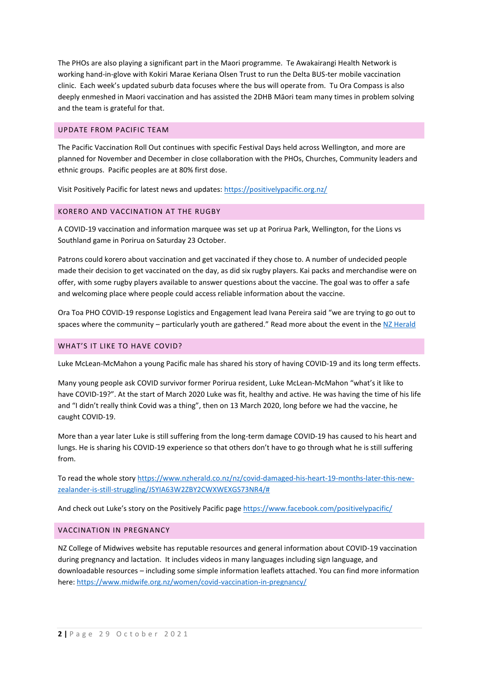The PHOs are also playing a significant part in the Maori programme. Te Awakairangi Health Network is working hand-in-glove with Kokiri Marae Keriana Olsen Trust to run the Delta BUS-ter mobile vaccination clinic. Each week's updated suburb data focuses where the bus will operate from. Tu Ora Compass is also deeply enmeshed in Maori vaccination and has assisted the 2DHB Māori team many times in problem solving and the team is grateful for that.

#### UPDATE FROM PACIFIC TEAM

The Pacific Vaccination Roll Out continues with specific Festival Days held across Wellington, and more are planned for November and December in close collaboration with the PHOs, Churches, Community leaders and ethnic groups. Pacific peoples are at 80% first dose.

Visit Positively Pacific for latest news and updates:<https://positivelypacific.org.nz/>

#### KORERO AND VACCINATION AT THE RUGBY

A COVID-19 vaccination and information marquee was set up at Porirua Park, Wellington, for the Lions vs Southland game in Porirua on Saturday 23 October.

Patrons could korero about vaccination and get vaccinated if they chose to. A number of undecided people made their decision to get vaccinated on the day, as did six rugby players. Kai packs and merchandise were on offer, with some rugby players available to answer questions about the vaccine. The goal was to offer a safe and welcoming place where people could access reliable information about the vaccine.

Ora Toa PHO COVID-19 response Logistics and Engagement lead Ivana Pereira said "we are trying to go out to spaces where the community – particularly youth are gathered." Read more about the event in the [NZ Herald](https://www.nzherald.co.nz/nz/covid-19-jabs-available-at-wellington-lions-rugby-game-in-porirua/AJHM2DGUH2EGRUOQINLFHJ6Q7E/)

#### WHAT'S IT LIKE TO HAVE COVID?

Luke McLean-McMahon a young Pacific male has shared his story of having COVID-19 and its long term effects.

Many young people ask COVID survivor former Porirua resident, Luke McLean-McMahon "what's it like to have COVID-19?". At the start of March 2020 Luke was fit, healthy and active. He was having the time of his life and "I didn't really think Covid was a thing", then on 13 March 2020, long before we had the vaccine, he caught COVID-19.

More than a year later Luke is still suffering from the long-term damage COVID-19 has caused to his heart and lungs. He is sharing his COVID-19 experience so that others don't have to go through what he is still suffering from.

To read the whole story [https://www.nzherald.co.nz/nz/covid-damaged-his-heart-19-months-later-this-new](https://urldefense.com/v3/__https:/www.nzherald.co.nz/nz/covid-damaged-his-heart-19-months-later-this-new-zealander-is-still-struggling/JSYIA63W2ZBY2CWXWEXGS73NR4/*__;Iw!!A3teau8g8Q!CvDtD7ge5vfbHMAKtDg_6pdQAg9gB9RKFchWeDu-JAUKGqpkwaRqgxalUo0u4oKv4uXPsdjePn4GlaSKkBo$)[zealander-is-still-struggling/JSYIA63W2ZBY2CWXWEXGS73NR4/#](https://urldefense.com/v3/__https:/www.nzherald.co.nz/nz/covid-damaged-his-heart-19-months-later-this-new-zealander-is-still-struggling/JSYIA63W2ZBY2CWXWEXGS73NR4/*__;Iw!!A3teau8g8Q!CvDtD7ge5vfbHMAKtDg_6pdQAg9gB9RKFchWeDu-JAUKGqpkwaRqgxalUo0u4oKv4uXPsdjePn4GlaSKkBo$)

And check out Luke's story on the Positively Pacific page <https://www.facebook.com/positivelypacific/>

#### VACCINATION IN PREGNANCY

NZ College of Midwives website has reputable resources and general information about COVID-19 vaccination during pregnancy and lactation. It includes videos in many languages including sign language, and downloadable resources – including some simple information leaflets attached. You can find more information here[: https://www.midwife.org.nz/women/covid-vaccination-in-pregnancy/](https://www.midwife.org.nz/women/covid-vaccination-in-pregnancy/)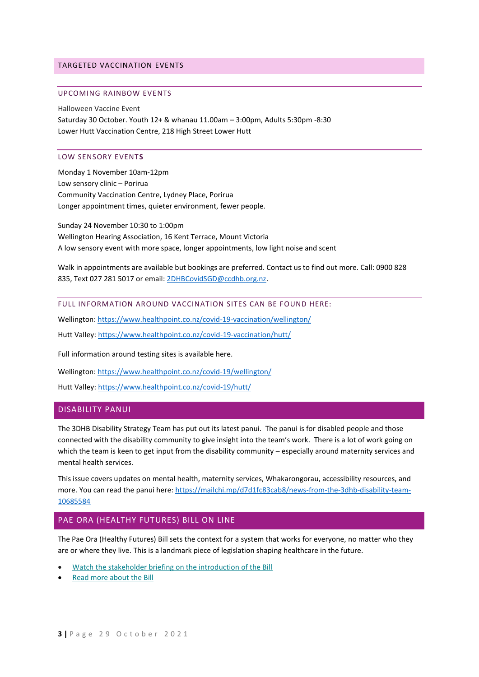#### TARGETED VACCINATION EVENTS

#### UPCOMING RAINBOW EVENTS

Halloween Vaccine Event Saturday 30 October. Youth 12+ & whanau 11.00am – 3:00pm, Adults 5:30pm -8:30 Lower Hutt Vaccination Centre, 218 High Street Lower Hutt

## LOW SENSORY EVENT**S**

Monday 1 November 10am-12pm Low sensory clinic – Porirua Community Vaccination Centre, Lydney Place, Porirua Longer appointment times, quieter environment, fewer people.

Sunday 24 November 10:30 to 1:00pm Wellington Hearing Association, 16 Kent Terrace, Mount Victoria A low sensory event with more space, longer appointments, low light noise and scent

Walk in appointments are available but bookings are preferred. Contact us to find out more. Call: 0900 828 835, Text 027 281 5017 or email[: 2DHBCovidSGD@ccdhb.org.nz.](mailto:2DHBCovidSGD@ccdhb.org.nz)

FULL INFORMATION AROUND VACCINATION SITES CAN BE FOUND HERE:

Wellington[: https://www.healthpoint.co.nz/covid-19-vaccination/wellington/](https://www.healthpoint.co.nz/covid-19-vaccination/wellington/)

Hutt Valley:<https://www.healthpoint.co.nz/covid-19-vaccination/hutt/>

Full information around testing sites is available here.

Wellington[: https://www.healthpoint.co.nz/covid-19/wellington/](https://www.healthpoint.co.nz/covid-19/wellington/)

Hutt Valley:<https://www.healthpoint.co.nz/covid-19/hutt/>

# DISABILITY PANUI

The 3DHB Disability Strategy Team has put out its latest panui. The panui is for disabled people and those connected with the disability community to give insight into the team's work. There is a lot of work going on which the team is keen to get input from the disability community – especially around maternity services and mental health services.

This issue covers updates on mental health, maternity services, Whakarongorau, accessibility resources, and more. You can read the panui here: [https://mailchi.mp/d7d1fc83cab8/news-from-the-3dhb-disability-team-](https://mailchi.mp/d7d1fc83cab8/news-from-the-3dhb-disability-team-10685584)[10685584](https://mailchi.mp/d7d1fc83cab8/news-from-the-3dhb-disability-team-10685584)

## PAE ORA (HEALTHY FUTURES) BILL ON LINE

The Pae Ora (Healthy Futures) Bill sets the context for a system that works for everyone, no matter who they are or where they live. This is a landmark piece of legislation shaping healthcare in the future.

- [Watch the stakeholder briefing on the introduction of the Bill](https://urldefense.com/v3/__https:/govt.us5.list-manage.com/track/click?u=e5eb2bf3c295a0c45c4700780&id=93cc089583&e=ab9a5318d6__;!!A3teau8g8Q!EM3UGNS4eG14KhfAchGMNxTz2HoHqvcO4_CU9vxXXO0vUR_m0EytQfagBZmrl3MPYJtM$)
- [Read more about the Bill](https://urldefense.com/v3/__https:/govt.us5.list-manage.com/track/click?u=e5eb2bf3c295a0c45c4700780&id=d8e255bf3a&e=ab9a5318d6__;!!A3teau8g8Q!EM3UGNS4eG14KhfAchGMNxTz2HoHqvcO4_CU9vxXXO0vUR_m0EytQfagBZmrl3kb8b-4$)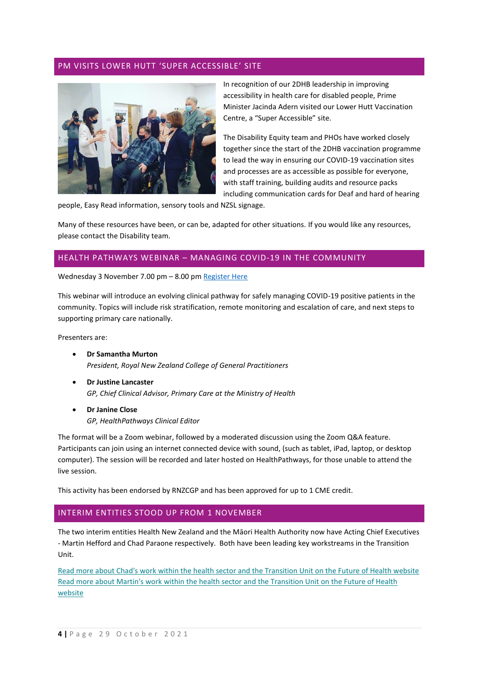## PM VISITS LOWER HUTT 'SUPER ACCESSIBLE' SITE



In recognition of our 2DHB leadership in improving accessibility in health care for disabled people, Prime Minister Jacinda Adern visited our Lower Hutt Vaccination Centre, a "Super Accessible" site.

The Disability Equity team and PHOs have worked closely together since the start of the 2DHB vaccination programme to lead the way in ensuring our COVID-19 vaccination sites and processes are as accessible as possible for everyone, with staff training, building audits and resource packs including communication cards for Deaf and hard of hearing

people, Easy Read information, sensory tools and NZSL signage.

Many of these resources have been, or can be, adapted for other situations. If you would like any resources, please contact the Disability team.

#### HEALTH PATHWAYS WEBINAR – MANAGING COVID-19 IN THE COMMUNITY

Wednesday 3 November 7.00 pm – 8.00 pm [Register Here](http://www.mobilehealth.co.nz/hp-covid)

This webinar will introduce an evolving clinical pathway for safely managing COVID-19 positive patients in the community. Topics will include risk stratification, remote monitoring and escalation of care, and next steps to supporting primary care nationally.

Presenters are:

- **Dr Samantha Murton** *President, Royal New Zealand College of General Practitioners*
- **Dr Justine Lancaster** *GP, Chief Clinical Advisor, Primary Care at the Ministry of Health*
- **Dr Janine Close** *GP, HealthPathways Clinical Editor*

The format will be a Zoom webinar, followed by a moderated discussion using the Zoom Q&A feature. Participants can join using an internet connected device with sound, (such as tablet, iPad, laptop, or desktop computer). The session will be recorded and later hosted on HealthPathways, for those unable to attend the live session.

This activity has been endorsed by RNZCGP and has been approved for up to 1 CME credit.

#### INTERIM ENTITIES STOOD UP FROM 1 NOVEMBER

The two interim entities Health New Zealand and the Māori Health Authority now have Acting Chief Executives - Martin Hefford and Chad Paraone respectively. Both have been leading key workstreams in the Transition Unit.

[Read more about Chad's work within the health sector and the Transition Unit on the Future of Health website](https://urldefense.com/v3/__https:/govt.us5.list-manage.com/track/click?u=e5eb2bf3c295a0c45c4700780&id=3031cec48c&e=ab9a5318d6__;!!A3teau8g8Q!EM3UGNS4eG14KhfAchGMNxTz2HoHqvcO4_CU9vxXXO0vUR_m0EytQfagBZmrl7CU-jxf$) Read more about Martin's work [within the health sector and the Transition Unit on the Future of Health](https://urldefense.com/v3/__https:/govt.us5.list-manage.com/track/click?u=e5eb2bf3c295a0c45c4700780&id=2847006bb6&e=ab9a5318d6__;!!A3teau8g8Q!EM3UGNS4eG14KhfAchGMNxTz2HoHqvcO4_CU9vxXXO0vUR_m0EytQfagBZmrl9gTO6cA$)  [website](https://urldefense.com/v3/__https:/govt.us5.list-manage.com/track/click?u=e5eb2bf3c295a0c45c4700780&id=2847006bb6&e=ab9a5318d6__;!!A3teau8g8Q!EM3UGNS4eG14KhfAchGMNxTz2HoHqvcO4_CU9vxXXO0vUR_m0EytQfagBZmrl9gTO6cA$)